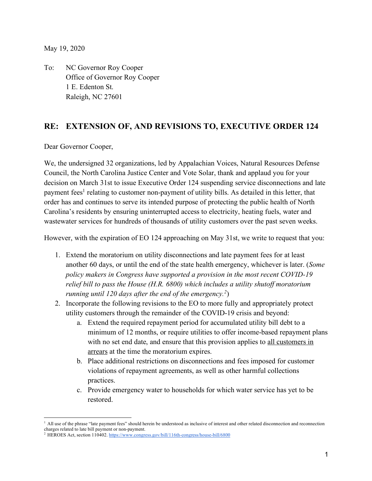May 19, 2020

To: NC Governor Roy Cooper Office of Governor Roy Cooper 1 E. Edenton St. Raleigh, NC 27601

## **RE: EXTENSION OF, AND REVISIONS TO, EXECUTIVE ORDER 124**

Dear Governor Cooper,

We, the undersigned 32 organizations, led by Appalachian Voices, Natural Resources Defense Council, the North Carolina Justice Center and Vote Solar, thank and applaud you for your decision on March 31st to issue Executive Order 124 suspending service disconnections and late payment fees<sup>1</sup> relating to customer non-payment of utility bills. As detailed in this letter, that order has and continues to serve its intended purpose of protecting the public health of North Carolina's residents by ensuring uninterrupted access to electricity, heating fuels, water and wastewater services for hundreds of thousands of utility customers over the past seven weeks.

However, with the expiration of EO 124 approaching on May 31st, we write to request that you:

- 1. Extend the moratorium on utility disconnections and late payment fees for at least another 60 days, or until the end of the state health emergency, whichever is later. (*Some policy makers in Congress have supported a provision in the most recent COVID-19 relief bill to pass the House (H.R. 6800) which includes a utility shutoff moratorium running until 120 days after the end of the emergency.2*)
- 2. Incorporate the following revisions to the EO to more fully and appropriately protect utility customers through the remainder of the COVID-19 crisis and beyond:
	- a. Extend the required repayment period for accumulated utility bill debt to a minimum of 12 months, or require utilities to offer income-based repayment plans with no set end date, and ensure that this provision applies to all customers in arrears at the time the moratorium expires.
	- b. Place additional restrictions on disconnections and fees imposed for customer violations of repayment agreements, as well as other harmful collections practices.
	- c. Provide emergency water to households for which water service has yet to be restored.

<sup>&</sup>lt;sup>1</sup> All use of the phrase "late payment fees" should herein be understood as inclusive of interest and other related disconnection and reconnection charges related to late bill payment or non-payment.

<sup>&</sup>lt;sup>2</sup> HEROES Act, section 110402. https://www.congress.gov/bill/116th-congress/house-bill/6800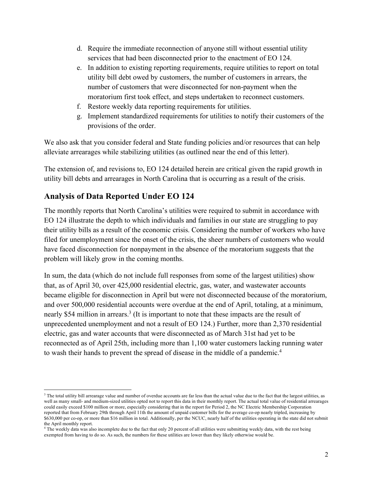- d. Require the immediate reconnection of anyone still without essential utility services that had been disconnected prior to the enactment of EO 124.
- e. In addition to existing reporting requirements, require utilities to report on total utility bill debt owed by customers, the number of customers in arrears, the number of customers that were disconnected for non-payment when the moratorium first took effect, and steps undertaken to reconnect customers.
- f. Restore weekly data reporting requirements for utilities.
- g. Implement standardized requirements for utilities to notify their customers of the provisions of the order.

We also ask that you consider federal and State funding policies and/or resources that can help alleviate arrearages while stabilizing utilities (as outlined near the end of this letter).

The extension of, and revisions to, EO 124 detailed herein are critical given the rapid growth in utility bill debts and arrearages in North Carolina that is occurring as a result of the crisis.

# **Analysis of Data Reported Under EO 124**

The monthly reports that North Carolina's utilities were required to submit in accordance with EO 124 illustrate the depth to which individuals and families in our state are struggling to pay their utility bills as a result of the economic crisis. Considering the number of workers who have filed for unemployment since the onset of the crisis, the sheer numbers of customers who would have faced disconnection for nonpayment in the absence of the moratorium suggests that the problem will likely grow in the coming months.

In sum, the data (which do not include full responses from some of the largest utilities) show that, as of April 30, over 425,000 residential electric, gas, water, and wastewater accounts became eligible for disconnection in April but were not disconnected because of the moratorium, and over 500,000 residential accounts were overdue at the end of April, totaling, at a minimum, nearly \$54 million in arrears.<sup>3</sup> (It is important to note that these impacts are the result of unprecedented unemployment and not a result of EO 124.) Further, more than 2,370 residential electric, gas and water accounts that were disconnected as of March 31st had yet to be reconnected as of April 25th, including more than 1,100 water customers lacking running water to wash their hands to prevent the spread of disease in the middle of a pandemic.4

<sup>&</sup>lt;sup>3</sup> The total utility bill arrearage value and number of overdue accounts are far less than the actual value due to the fact that the largest utilities, as well as many small- and medium-sized utilities opted not to report this data in their monthly report. The actual total value of residential arrearages could easily exceed \$100 million or more, especially considering that in the report for Period 2, the NC Electric Membership Corporation reported that from February 29th through April 11th the amount of unpaid customer bills for the average co-op nearly tripled, increasing by \$630,000 per co-op, or more than \$16 million in total. Additionally, per the NCUC, nearly half of the utilities operating in the state did not submit the April monthly report.

<sup>&</sup>lt;sup>4</sup> The weekly data was also incomplete due to the fact that only 20 percent of all utilities were submitting weekly data, with the rest being exempted from having to do so. As such, the numbers for these utilities are lower than they likely otherwise would be.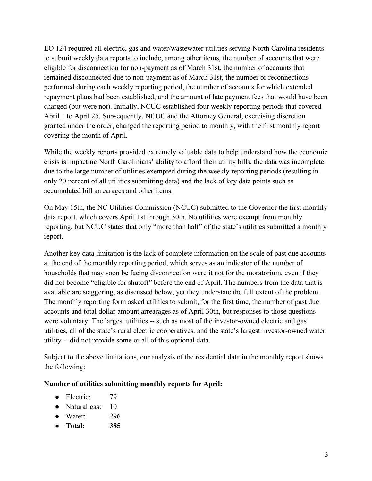EO 124 required all electric, gas and water/wastewater utilities serving North Carolina residents to submit weekly data reports to include, among other items, the number of accounts that were eligible for disconnection for non-payment as of March 31st, the number of accounts that remained disconnected due to non-payment as of March 31st, the number or reconnections performed during each weekly reporting period, the number of accounts for which extended repayment plans had been established, and the amount of late payment fees that would have been charged (but were not). Initially, NCUC established four weekly reporting periods that covered April 1 to April 25. Subsequently, NCUC and the Attorney General, exercising discretion granted under the order, changed the reporting period to monthly, with the first monthly report covering the month of April.

While the weekly reports provided extremely valuable data to help understand how the economic crisis is impacting North Carolinians' ability to afford their utility bills, the data was incomplete due to the large number of utilities exempted during the weekly reporting periods (resulting in only 20 percent of all utilities submitting data) and the lack of key data points such as accumulated bill arrearages and other items.

On May 15th, the NC Utilities Commission (NCUC) submitted to the Governor the first monthly data report, which covers April 1st through 30th. No utilities were exempt from monthly reporting, but NCUC states that only "more than half" of the state's utilities submitted a monthly report.

Another key data limitation is the lack of complete information on the scale of past due accounts at the end of the monthly reporting period, which serves as an indicator of the number of households that may soon be facing disconnection were it not for the moratorium, even if they did not become "eligible for shutoff" before the end of April. The numbers from the data that is available are staggering, as discussed below, yet they understate the full extent of the problem. The monthly reporting form asked utilities to submit, for the first time, the number of past due accounts and total dollar amount arrearages as of April 30th, but responses to those questions were voluntary. The largest utilities -- such as most of the investor-owned electric and gas utilities, all of the state's rural electric cooperatives, and the state's largest investor-owned water utility -- did not provide some or all of this optional data.

Subject to the above limitations, our analysis of the residential data in the monthly report shows the following:

#### **Number of utilities submitting monthly reports for April:**

- Electric: 79
- Natural gas: 10
- Water: 296
- **Total: 385**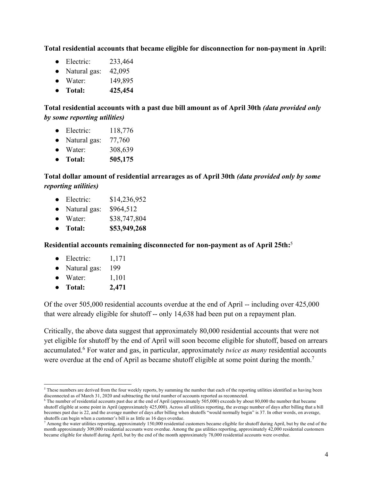**Total residential accounts that became eligible for disconnection for non-payment in April:**

- Electric: 233,464
- Natural gas:  $42,095$
- Water: 149,895
- **Total: 425,454**

**Total residential accounts with a past due bill amount as of April 30th** *(data provided only by some reporting utilities)*

- Electric: 118,776
- Natural gas: 77,760
- Water: 308,639
- **Total: 505,175**

#### **Total dollar amount of residential arrearages as of April 30th** *(data provided only by some reporting utilities)*

- Electric: \$14,236,952
- Natural gas:  $$964,512$
- Water: \$38,747,804
- **Total: \$53,949,268**

**Residential accounts remaining disconnected for non-payment as of April 25th:**<sup>5</sup>

- $\bullet$  Electric:  $1.171$
- Natural gas: 199
- Water:  $1,101$
- **Total: 2,471**

Of the over 505,000 residential accounts overdue at the end of April -- including over 425,000 that were already eligible for shutoff -- only 14,638 had been put on a repayment plan.

Critically, the above data suggest that approximately 80,000 residential accounts that were not yet eligible for shutoff by the end of April will soon become eligible for shutoff, based on arrears accumulated.6 For water and gas, in particular, approximately *twice as many* residential accounts were overdue at the end of April as became shutoff eligible at some point during the month.<sup>7</sup>

<sup>5</sup> These numbers are derived from the four weekly reports, by summing the number that each of the reporting utilities identified as having been disconnected as of March 31, 2020 and subtracting the total number of accounts reported as reconnected.<br><sup>6</sup> The number of residential accounts past due at the end of April (approximately 505,000) exceeds by about 80,000 th

shutoff eligible at some point in April (approximately 425,000). Across all utilities reporting, the average number of days after billing that a bill becomes past due is 22, and the average number of days after billing when shutoffs "would normally begin" is 37. In other words, on average, shutoffs can begin when a customer's bill is as little as 16 days overdue.

<sup>&</sup>lt;sup>7</sup> Among the water utilities reporting, approximately 150,000 residential customers became eligible for shutoff during April, but by the end of the month approximately 309,000 residential accounts were overdue. Among the gas utilities reporting, approximately 42,000 residential customers became eligible for shutoff during April, but by the end of the month approximately 78,000 residential accounts were overdue.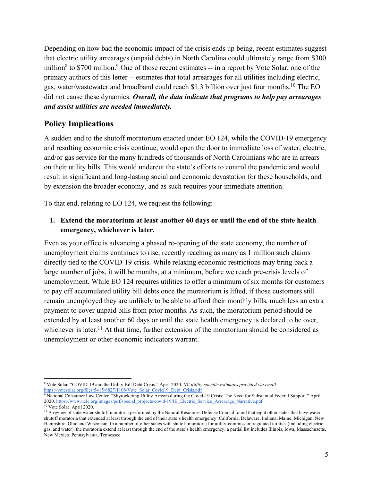Depending on how bad the economic impact of the crisis ends up being, recent estimates suggest that electric utility arrearages (unpaid debts) in North Carolina could ultimately range from \$300 million<sup>8</sup> to \$700 million.<sup>9</sup> One of those recent estimates -- in a report by Vote Solar, one of the primary authors of this letter -- estimates that total arrearages for all utilities including electric, gas, water/wastewater and broadband could reach \$1.3 billion over just four months.10 The EO did not cause these dynamics. *Overall, the data indicate that programs to help pay arrearages and assist utilities are needed immediately.*

# **Policy Implications**

A sudden end to the shutoff moratorium enacted under EO 124, while the COVID-19 emergency and resulting economic crisis continue, would open the door to immediate loss of water, electric, and/or gas service for the many hundreds of thousands of North Carolinians who are in arrears on their utility bills. This would undercut the state's efforts to control the pandemic and would result in significant and long-lasting social and economic devastation for these households, and by extension the broader economy, and as such requires your immediate attention.

To that end, relating to EO 124, we request the following:

**1. Extend the moratorium at least another 60 days or until the end of the state health emergency, whichever is later.**

Even as your office is advancing a phased re-opening of the state economy, the number of unemployment claims continues to rise, recently reaching as many as 1 million such claims directly tied to the COVID-19 crisis. While relaxing economic restrictions may bring back a large number of jobs, it will be months, at a minimum, before we reach pre-crisis levels of unemployment. While EO 124 requires utilities to offer a minimum of six months for customers to pay off accumulated utility bill debts once the moratorium is lifted, if those customers still remain unemployed they are unlikely to be able to afford their monthly bills, much less an extra payment to cover unpaid bills from prior months. As such, the moratorium period should be extended by at least another 60 days or until the state health emergency is declared to be over, whichever is later.<sup>11</sup> At that time, further extension of the moratorium should be considered as unemployment or other economic indicators warrant.

 $\overline{a}$ <sup>8</sup> Vote Solar. "COVID-19 and the Utility Bill Debt Crisis." April 2020. *NC utility-specific estimates provided via email.* https://votesolar.org/files/5415/8827/1108/Vote\_Solar\_Covid19\_Debt\_Crisis.pdf

<sup>9</sup> National Consumer Law Center. "Skyrocketing Utility Arrears during the Covid-19 Crisis: The Need for Substantial Federal Support." April 2020. https://www.nclc.org/images/pdf/special\_projects/covid-19/IB\_Electric\_Service\_Arrearage\_Narrative.pdf

<sup>&</sup>lt;sup>10</sup> Vote Solar. April 2020.

<sup>&</sup>lt;sup>11</sup> A review of state water shutoff moratoria performed by the Natural Resources Defense Council found that eight other states that have water shutoff moratoria that extended at least through the end of their state's health emergency: California, Delaware, Indiana, Maine, Michigan, New Hampshire, Ohio and Wisconsin. In a number of other states with shutoff moratoria for utility-commission regulated utilities (including electric, gas, and water), the moratoria extend at least through the end of the state's health emergency; a partial list includes Illinois, Iowa, Massachusetts, New Mexico, Pennsylvania, Tennessee.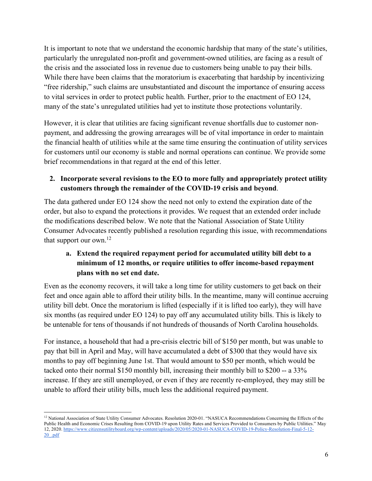It is important to note that we understand the economic hardship that many of the state's utilities, particularly the unregulated non-profit and government-owned utilities, are facing as a result of the crisis and the associated loss in revenue due to customers being unable to pay their bills. While there have been claims that the moratorium is exacerbating that hardship by incentivizing "free ridership," such claims are unsubstantiated and discount the importance of ensuring access to vital services in order to protect public health. Further, prior to the enactment of EO 124, many of the state's unregulated utilities had yet to institute those protections voluntarily.

However, it is clear that utilities are facing significant revenue shortfalls due to customer nonpayment, and addressing the growing arrearages will be of vital importance in order to maintain the financial health of utilities while at the same time ensuring the continuation of utility services for customers until our economy is stable and normal operations can continue. We provide some brief recommendations in that regard at the end of this letter.

### **2. Incorporate several revisions to the EO to more fully and appropriately protect utility customers through the remainder of the COVID-19 crisis and beyond**.

The data gathered under EO 124 show the need not only to extend the expiration date of the order, but also to expand the protections it provides. We request that an extended order include the modifications described below. We note that the National Association of State Utility Consumer Advocates recently published a resolution regarding this issue, with recommendations that support our own.<sup>12</sup>

## **a. Extend the required repayment period for accumulated utility bill debt to a minimum of 12 months, or require utilities to offer income-based repayment plans with no set end date.**

Even as the economy recovers, it will take a long time for utility customers to get back on their feet and once again able to afford their utility bills. In the meantime, many will continue accruing utility bill debt. Once the moratorium is lifted (especially if it is lifted too early), they will have six months (as required under EO 124) to pay off any accumulated utility bills. This is likely to be untenable for tens of thousands if not hundreds of thousands of North Carolina households.

For instance, a household that had a pre-crisis electric bill of \$150 per month, but was unable to pay that bill in April and May, will have accumulated a debt of \$300 that they would have six months to pay off beginning June 1st. That would amount to \$50 per month, which would be tacked onto their normal \$150 monthly bill, increasing their monthly bill to \$200 -- a 33% increase. If they are still unemployed, or even if they are recently re-employed, they may still be unable to afford their utility bills, much less the additional required payment.

<sup>&</sup>lt;sup>12</sup> National Association of State Utility Consumer Advocates. Resolution 2020-01. "NASUCA Recommendations Concerning the Effects of the Public Health and Economic Crises Resulting from COVID-19 upon Utility Rates and Services Provided to Consumers by Public Utilities." May 12, 2020. https://www.citizensutilityboard.org/wp-content/uploads/2020/05/2020-01-NASUCA-COVID-19-Policy-Resolution-Final-5-12- 20\_.pdf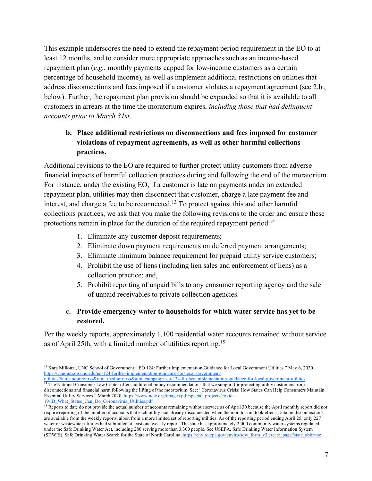This example underscores the need to extend the repayment period requirement in the EO to at least 12 months, and to consider more appropriate approaches such as an income-based repayment plan (*e.g.*, monthly payments capped for low-income customers as a certain percentage of household income), as well as implement additional restrictions on utilities that address disconnections and fees imposed if a customer violates a repayment agreement (see 2.b., below). Further, the repayment plan provision should be expanded so that it is available to all customers in arrears at the time the moratorium expires, *including those that had delinquent accounts prior to March 31st*.

## **b. Place additional restrictions on disconnections and fees imposed for customer violations of repayment agreements, as well as other harmful collections practices.**

Additional revisions to the EO are required to further protect utility customers from adverse financial impacts of harmful collection practices during and following the end of the moratorium. For instance, under the existing EO, if a customer is late on payments under an extended repayment plan, utilities may then disconnect that customer, charge a late payment fee and interest, and charge a fee to be reconnected.<sup>13</sup> To protect against this and other harmful collections practices, we ask that you make the following revisions to the order and ensure these protections remain in place for the duration of the required repayment period:<sup>14</sup>

- 1. Eliminate any customer deposit requirements;
- 2. Eliminate down payment requirements on deferred payment arrangements;
- 3. Eliminate minimum balance requirement for prepaid utility service customers;
- 4. Prohibit the use of liens (including lien sales and enforcement of liens) as a collection practice; and,
- 5. Prohibit reporting of unpaid bills to any consumer reporting agency and the sale of unpaid receivables to private collection agencies.

### **c. Provide emergency water to households for which water service has yet to be restored.**

Per the weekly reports, approximately 1,100 residential water accounts remained without service as of April 25th, with a limited number of utilities reporting.15

<sup>13</sup> Kara Millonzi, UNC School of Government. "EO 124: Further Implementation Guidance for Local Government Utilities." May 6, 2020. https://canons.sog.unc.edu/eo-124-further-implementation-guidance-for-local-government-

utilities/#utm\_source=rss&utm\_medium=rss&utm\_campaign=eo-124-further-implementation-guidance-for-local-government-utilities <sup>14</sup> The National Consumer Law Center offers additional policy recommendations that we support for protecting utility customers from disconnections and financial harm following the lifting of the moratorium. See: "Coronavirus Crisis: How States Can Help Consumers Maintain Essential Utility Services." March 2020. https://www.nclc.org/images/pdf/special\_projects/covid-19/IB\_What\_States\_Can\_Do\_Coronavirus\_Utilities.pdf

<sup>&</sup>lt;sup>15</sup> Reports to date do not provide the actual number of accounts remaining without service as of April 30 because the April monthly report did not require reporting of the number of accounts that each utility had already disconnected when the moratorium took effect. Data on disconnections are available from the weekly reports, albeit from a more limited set of reporting utilities. As of the reporting period ending April 25, only 227 water or wastewater utilities had submitted at least one weekly report. The state has approximately 2,000 community water systems regulated under the Safe Drinking Water Act, including 280 serving more than 3,300 people. See USEPA, Safe Drinking Water Information System (SDWIS), Safe Drinking Water Search for the State of North Carolina, https://enviro.epa.gov/enviro/sdw\_form\_v3.create\_page?state\_abbr=nc.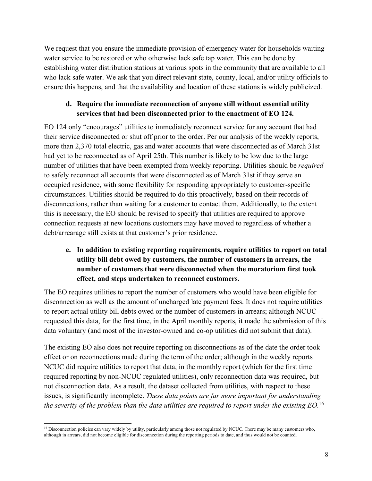We request that you ensure the immediate provision of emergency water for households waiting water service to be restored or who otherwise lack safe tap water. This can be done by establishing water distribution stations at various spots in the community that are available to all who lack safe water. We ask that you direct relevant state, county, local, and/or utility officials to ensure this happens, and that the availability and location of these stations is widely publicized.

### **d. Require the immediate reconnection of anyone still without essential utility services that had been disconnected prior to the enactment of EO 124.**

EO 124 only "encourages" utilities to immediately reconnect service for any account that had their service disconnected or shut off prior to the order. Per our analysis of the weekly reports, more than 2,370 total electric, gas and water accounts that were disconnected as of March 31st had yet to be reconnected as of April 25th. This number is likely to be low due to the large number of utilities that have been exempted from weekly reporting. Utilities should be *required* to safely reconnect all accounts that were disconnected as of March 31st if they serve an occupied residence, with some flexibility for responding appropriately to customer-specific circumstances. Utilities should be required to do this proactively, based on their records of disconnections, rather than waiting for a customer to contact them. Additionally, to the extent this is necessary, the EO should be revised to specify that utilities are required to approve connection requests at new locations customers may have moved to regardless of whether a debt/arrearage still exists at that customer's prior residence.

## **e. In addition to existing reporting requirements, require utilities to report on total utility bill debt owed by customers, the number of customers in arrears, the number of customers that were disconnected when the moratorium first took effect, and steps undertaken to reconnect customers.**

The EO requires utilities to report the number of customers who would have been eligible for disconnection as well as the amount of uncharged late payment fees. It does not require utilities to report actual utility bill debts owed or the number of customers in arrears; although NCUC requested this data, for the first time, in the April monthly reports, it made the submission of this data voluntary (and most of the investor-owned and co-op utilities did not submit that data).

The existing EO also does not require reporting on disconnections as of the date the order took effect or on reconnections made during the term of the order; although in the weekly reports NCUC did require utilities to report that data, in the monthly report (which for the first time required reporting by non-NCUC regulated utilities), only reconnection data was required, but not disconnection data. As a result, the dataset collected from utilities, with respect to these issues, is significantly incomplete. *These data points are far more important for understanding the severity of the problem than the data utilities are required to report under the existing EO.*<sup>16</sup>

 $\overline{a}$ <sup>16</sup> Disconnection policies can vary widely by utility, particularly among those not regulated by NCUC. There may be many customers who, although in arrears, did not become eligible for disconnection during the reporting periods to date, and thus would not be counted.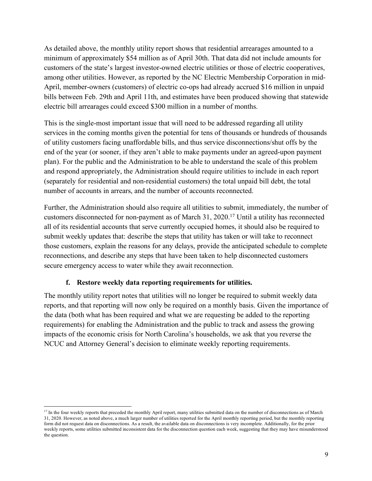As detailed above, the monthly utility report shows that residential arrearages amounted to a minimum of approximately \$54 million as of April 30th. That data did not include amounts for customers of the state's largest investor-owned electric utilities or those of electric cooperatives, among other utilities. However, as reported by the NC Electric Membership Corporation in mid-April, member-owners (customers) of electric co-ops had already accrued \$16 million in unpaid bills between Feb. 29th and April 11th, and estimates have been produced showing that statewide electric bill arrearages could exceed \$300 million in a number of months.

This is the single-most important issue that will need to be addressed regarding all utility services in the coming months given the potential for tens of thousands or hundreds of thousands of utility customers facing unaffordable bills, and thus service disconnections/shut offs by the end of the year (or sooner, if they aren't able to make payments under an agreed-upon payment plan). For the public and the Administration to be able to understand the scale of this problem and respond appropriately, the Administration should require utilities to include in each report (separately for residential and non-residential customers) the total unpaid bill debt, the total number of accounts in arrears, and the number of accounts reconnected.

Further, the Administration should also require all utilities to submit, immediately, the number of customers disconnected for non-payment as of March 31, 2020.17 Until a utility has reconnected all of its residential accounts that serve currently occupied homes, it should also be required to submit weekly updates that: describe the steps that utility has taken or will take to reconnect those customers, explain the reasons for any delays, provide the anticipated schedule to complete reconnections, and describe any steps that have been taken to help disconnected customers secure emergency access to water while they await reconnection.

#### **f. Restore weekly data reporting requirements for utilities.**

The monthly utility report notes that utilities will no longer be required to submit weekly data reports, and that reporting will now only be required on a monthly basis. Given the importance of the data (both what has been required and what we are requesting be added to the reporting requirements) for enabling the Administration and the public to track and assess the growing impacts of the economic crisis for North Carolina's households, we ask that you reverse the NCUC and Attorney General's decision to eliminate weekly reporting requirements.

<sup>&</sup>lt;sup>17</sup> In the four weekly reports that preceded the monthly April report, many utilities submitted data on the number of disconnections as of March 31, 2020. However, as noted above, a much larger number of utilities reported for the April monthly reporting period, but the monthly reporting form did not request data on disconnections. As a result, the available data on disconnections is very incomplete. Additionally, for the prior weekly reports, some utilities submitted inconsistent data for the disconnection question each week, suggesting that they may have misunderstood the question.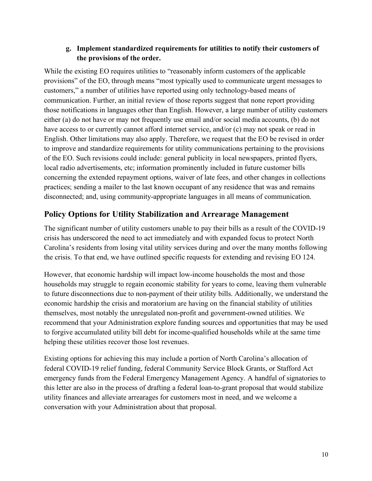#### **g. Implement standardized requirements for utilities to notify their customers of the provisions of the order.**

While the existing EO requires utilities to "reasonably inform customers of the applicable provisions" of the EO, through means "most typically used to communicate urgent messages to customers," a number of utilities have reported using only technology-based means of communication. Further, an initial review of those reports suggest that none report providing those notifications in languages other than English. However, a large number of utility customers either (a) do not have or may not frequently use email and/or social media accounts, (b) do not have access to or currently cannot afford internet service, and/or (c) may not speak or read in English. Other limitations may also apply. Therefore, we request that the EO be revised in order to improve and standardize requirements for utility communications pertaining to the provisions of the EO. Such revisions could include: general publicity in local newspapers, printed flyers, local radio advertisements, etc; information prominently included in future customer bills concerning the extended repayment options, waiver of late fees, and other changes in collections practices; sending a mailer to the last known occupant of any residence that was and remains disconnected; and, using community-appropriate languages in all means of communication.

## **Policy Options for Utility Stabilization and Arrearage Management**

The significant number of utility customers unable to pay their bills as a result of the COVID-19 crisis has underscored the need to act immediately and with expanded focus to protect North Carolina's residents from losing vital utility services during and over the many months following the crisis. To that end, we have outlined specific requests for extending and revising EO 124.

However, that economic hardship will impact low-income households the most and those households may struggle to regain economic stability for years to come, leaving them vulnerable to future disconnections due to non-payment of their utility bills. Additionally, we understand the economic hardship the crisis and moratorium are having on the financial stability of utilities themselves, most notably the unregulated non-profit and government-owned utilities. We recommend that your Administration explore funding sources and opportunities that may be used to forgive accumulated utility bill debt for income-qualified households while at the same time helping these utilities recover those lost revenues.

Existing options for achieving this may include a portion of North Carolina's allocation of federal COVID-19 relief funding, federal Community Service Block Grants, or Stafford Act emergency funds from the Federal Emergency Management Agency. A handful of signatories to this letter are also in the process of drafting a federal loan-to-grant proposal that would stabilize utility finances and alleviate arrearages for customers most in need, and we welcome a conversation with your Administration about that proposal.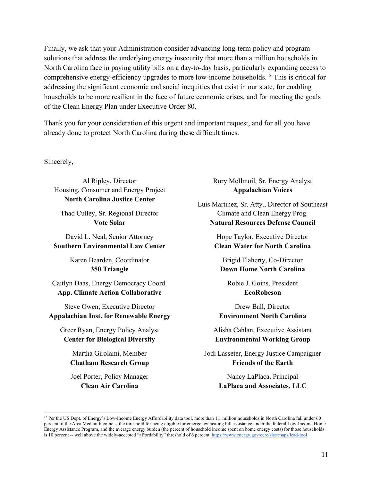Finally, we ask that your Administration consider advancing long-term policy and program solutions that address the underlying energy insecurity that more than a million households in North Carolina face in paying utility bills on a day-to-day basis, particularly expanding access to comprehensive energy-efficiency upgrades to more low-income households.18 This is critical for addressing the significant economic and social inequities that exist in our state, for enabling households to be more resilient in the face of future economic crises, and for meeting the goals of the Clean Energy Plan under Executive Order 80.

Thank you for your consideration of this urgent and important request, and for all you have already done to protect North Carolina during these difficult times.

Sincerely,

Al Ripley, Director Housing, Consumer and Energy Project **North Carolina Justice Center**

Thad Culley, Sr. Regional Director **Vote Solar**

David L. Neal, Senior Attorney **Southern Environmental Law Center**

> Karen Bearden, Coordinator **350 Triangle**

Caitlyn Daas, Energy Democracy Coord. **App. Climate Action Collaborative**

Steve Owen, Executive Director **Appalachian Inst. for Renewable Energy**

Greer Ryan, Energy Policy Analyst **Center for Biological Diversity**

> Martha Girolami, Member **Chatham Research Group**

> Joel Porter, Policy Manager **Clean Air Carolina**

Rory McIlmoil, Sr. Energy Analyst **Appalachian Voices**

Luis Martinez, Sr. Atty., Director of Southeast Climate and Clean Energy Prog. **Natural Resources Defense Council**

> Hope Taylor, Executive Director **Clean Water for North Carolina**

Brigid Flaherty, Co-Director **Down Home North Carolina**

Robie J. Goins, President **EcoRobeson**

Drew Ball, Director **Environment North Carolina**

Alisha Cahlan, Executive Assistant **Environmental Working Group**

Jodi Lasseter, Energy Justice Campaigner **Friends of the Earth**

> Nancy LaPlaca, Principal **LaPlaca and Associates, LLC**

<sup>&</sup>lt;sup>18</sup> Per the US Dept. of Energy's Low-Income Energy Affordability data tool, more than 1.1 million households in North Carolina fall under 60 percent of the Area Median Income -- the threshold for being eligible for emergency heating bill assistance under the federal Low-Income Home Energy Assistance Program, and the average energy burden (the percent of household income spent on home energy costs) for those households is 10 percent -- well above the widely-accepted "affordability" threshold of 6 percent. https://www.energy.gov/eere/slsc/maps/lead-tool